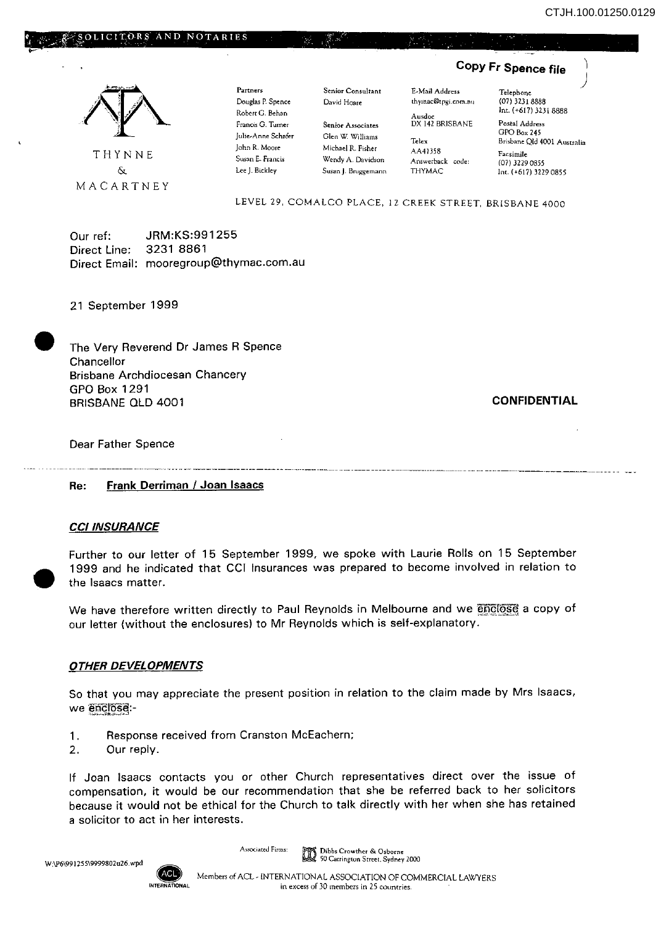

Our ref: JRM:KS:991255 Direct Line: 3231 8861 Direct Email: mooregroup@thymac.com.au

21 September 1999

 $\begin{array}{ccc} & & \uparrow & \\ & & \uparrow & \\ & & \uparrow & \\ & & \uparrow & \\ & & \uparrow & \\ & & \uparrow & \\ & & \uparrow & \\ & & \uparrow & \\ & & \uparrow & \\ & & \uparrow & \\ & & \uparrow & \\ & & \uparrow & \\ & & \uparrow & \\ & & \uparrow & \\ & & \uparrow & \\ & & \uparrow & \\ & & \uparrow & \\ & & \uparrow & \\ & & \uparrow & \\ & & \uparrow & \\ & & \uparrow & \\ & & \uparrow & \\ & & \uparrow & \\ & & \uparrow & \\ & & \uparrow & \\ & & \uparrow & \\ & & \uparrow & \\ & & \uparrow & \\ & & \uparrow & \\ & & \uparrow & \\ & & \$ The Very Reverend Dr James R Spence Chancellor Brisbane Archdiocesan Chancery GPO Box 1291 BRISBANE OLD 4001

**CONFIDENTIAL** 

Dear Father Spence

Re: Frank Derriman / Joan Isaacs

## **CCI INSURANCE**

• Further to our letter of 15 September 1999, we spoke with Laurie Rolls on 15 September 1999 and he indicated that CCI Insurances was prepared to become involved in relation to the Isaacs matter.

We have therefore written directly to Paul Reynolds in Melbourne and we enclose a copy of our letter (without the enclosures) to Mr Reynolds which is self-explanatory.

## **OTHER DEVELOPMENTS**

So that you may appreciate the present position in relation to the claim made by Mrs Isaacs, we enclose:-

- 1. Response received from Cranston McEachern;
- 2. Our reply.

If Joan Isaacs contacts you or other Church representatives direct over the issue of compensation, it would be our recommendation that she be referred back to her solicitors because it would not be ethical for the Church to talk directly with her when she has retained a solicitor to act in her interests.